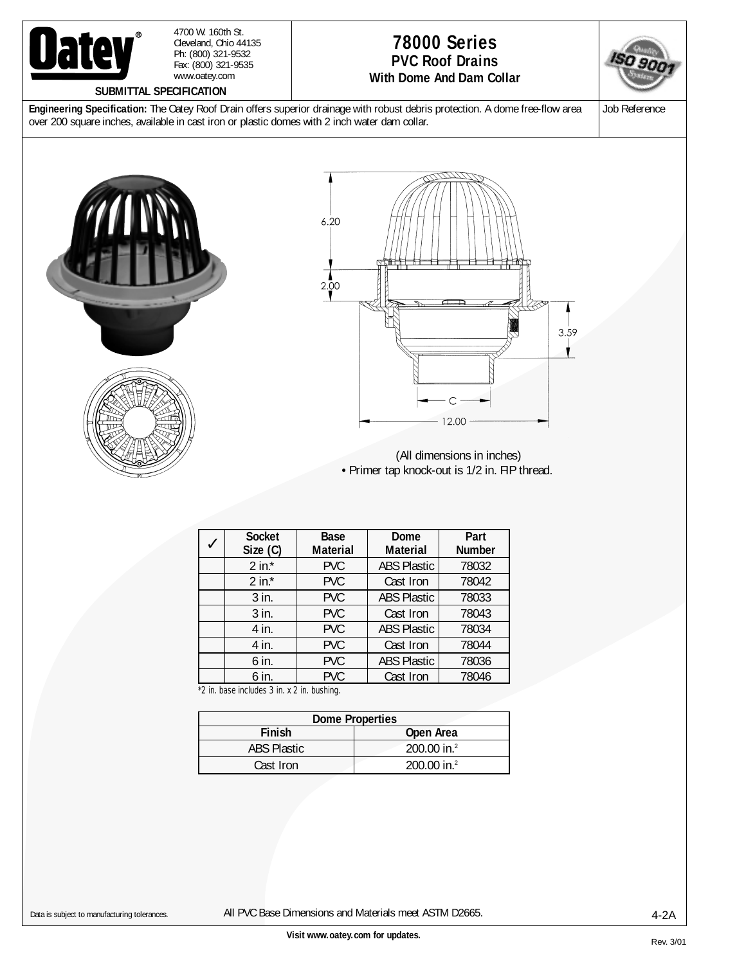

4700 W. 160th St. Cleveland, Ohio 44135 Ph: (800) 321-9532 Fax: (800) 321-9535 www.oatey.com

## **SUBMITTAL SPECIFICATION**

## **78000 Series PVC Roof Drains With Dome And Dam Collar**



**Engineering Specification:** The Oatey Roof Drain offers superior drainage with robust debris protection. A dome free-flow area over 200 square inches, available in cast iron or plastic domes with 2 inch water dam collar.

Job Reference





(All dimensions in inches) • Primer tap knock-out is 1/2 in. FIP thread.

| <b>Socket</b><br>Size (C) | Base<br><b>Material</b> | Dome<br><b>Material</b> | Part<br><b>Number</b> |
|---------------------------|-------------------------|-------------------------|-----------------------|
| $2$ in. $*$               | <b>PVC</b>              | <b>ABS Plastic</b>      | 78032                 |
| 2 in. $*$                 | <b>PVC</b>              | Cast Iron               | 78042                 |
| 3 in.                     | <b>PVC</b>              | <b>ABS Plastic</b>      | 78033                 |
| $3$ in.                   | <b>PVC</b>              | Cast Iron               | 78043                 |
| 4 in.                     | <b>PVC</b>              | <b>ABS Plastic</b>      | 78034                 |
| 4 in.                     | <b>PVC</b>              | Cast Iron               | 78044                 |
| 6 in.                     | <b>PVC</b>              | <b>ABS Plastic</b>      | 78036                 |
| 6 in.                     | <b>PVC</b>              | Cast Iron               | 78046                 |

\*2 in. base includes 3 in. x 2 in. bushing.

| <b>Dome Properties</b> |                           |  |  |  |
|------------------------|---------------------------|--|--|--|
| <b>Finish</b>          | Open Area                 |  |  |  |
| <b>ABS Plastic</b>     | 200.00 in. <sup>2</sup>   |  |  |  |
| Cast Iron              | $200.00$ in. <sup>2</sup> |  |  |  |